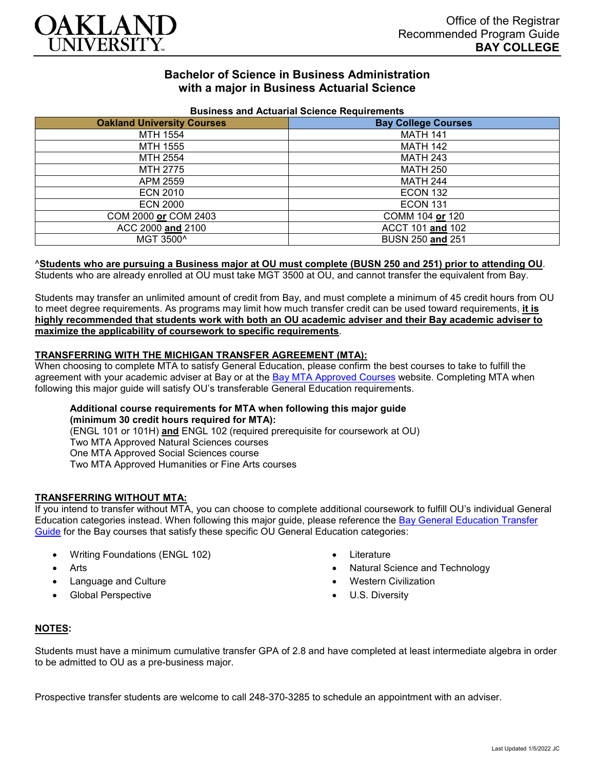

# **Bachelor of Science in Business Administration with a major in Business Actuarial Science**

| Business and Actuanal Ocionce Reguliements |                            |
|--------------------------------------------|----------------------------|
| <b>Oakland University Courses</b>          | <b>Bay College Courses</b> |
| MTH 1554                                   | <b>MATH 141</b>            |
| MTH 1555                                   | <b>MATH 142</b>            |
| MTH 2554                                   | <b>MATH 243</b>            |
| MTH 2775                                   | <b>MATH 250</b>            |
| APM 2559                                   | <b>MATH 244</b>            |
| <b>ECN 2010</b>                            | ECON 132                   |
| <b>ECN 2000</b>                            | <b>ECON 131</b>            |
| COM 2000 or COM 2403                       | COMM 104 or 120            |
| ACC 2000 and 2100                          | ACCT 101 and 102           |
| MGT 3500^                                  | BUSN 250 and 251           |

# **Business and Actuarial Science Requirements**

#### ^**Students who are pursuing a Business major at OU must complete (BUSN 250 and 251) prior to attending OU**.

Students who are already enrolled at OU must take MGT 3500 at OU, and cannot transfer the equivalent from Bay.

Students may transfer an unlimited amount of credit from Bay, and must complete a minimum of 45 credit hours from OU to meet degree requirements. As programs may limit how much transfer credit can be used toward requirements, **it is highly recommended that students work with both an OU academic adviser and their Bay academic adviser to maximize the applicability of coursework to specific requirements**.

# **TRANSFERRING WITH THE MICHIGAN TRANSFER AGREEMENT (MTA):**

When choosing to complete MTA to satisfy General Education, please confirm the best courses to take to fulfill the agreement with your academic adviser at Bay or at the [Bay MTA Approved Courses](https://www.baycollege.edu/admissions/transfer/transfer-agreements.php) website. Completing MTA when following this major guide will satisfy OU's transferable General Education requirements.

# **Additional course requirements for MTA when following this major guide (minimum 30 credit hours required for MTA):**

(ENGL 101 or 101H) **and** ENGL 102 (required prerequisite for coursework at OU) Two MTA Approved Natural Sciences courses One MTA Approved Social Sciences course Two MTA Approved Humanities or Fine Arts courses

# **TRANSFERRING WITHOUT MTA:**

If you intend to transfer without MTA, you can choose to complete additional coursework to fulfill OU's individual General Education categories instead. When following this major guide, please reference the [Bay General Education Transfer](https://www.oakland.edu/Assets/Oakland/program-guides/bay-college/university-general-education-requirements/Bay%20Gen%20Ed.pdf)  [Guide](https://www.oakland.edu/Assets/Oakland/program-guides/bay-college/university-general-education-requirements/Bay%20Gen%20Ed.pdf) for the Bay courses that satisfy these specific OU General Education categories:

- Writing Foundations (ENGL 102)
- Arts
- Language and Culture
- Global Perspective
- Literature
- Natural Science and Technology
- Western Civilization
- U.S. Diversity

# **NOTES:**

Students must have a minimum cumulative transfer GPA of 2.8 and have completed at least intermediate algebra in order to be admitted to OU as a pre-business major.

Prospective transfer students are welcome to call 248-370-3285 to schedule an appointment with an adviser.